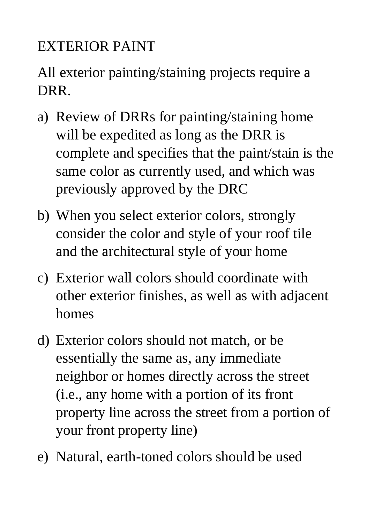## EXTERIOR PAINT

## All exterior painting/staining projects require a DRR.

- a) Review of DRRs for painting/staining home will be expedited as long as the DRR is complete and specifies that the paint/stain is the same color as currently used, and which was previously approved by the DRC
- b) When you select exterior colors, strongly consider the color and style of your roof tile and the architectural style of your home
- c) Exterior wall colors should coordinate with other exterior finishes, as well as with adjacent homes
- d) Exterior colors should not match, or be essentially the same as, any immediate neighbor or homes directly across the street (i.e., any home with a portion of its front property line across the street from a portion of your front property line)
- e) Natural, earth-toned colors should be used